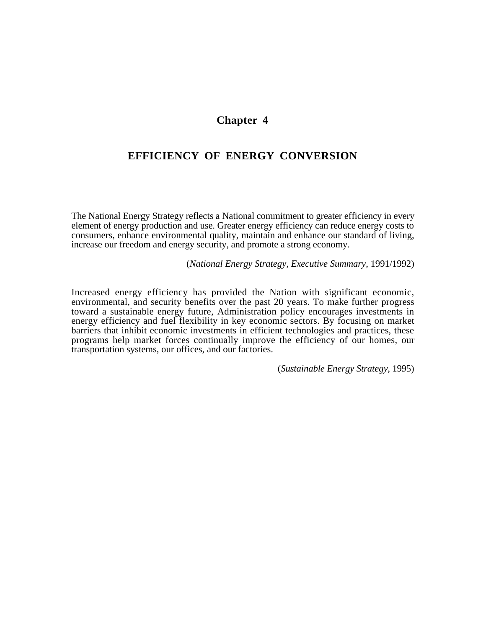# **Chapter 4**

# **EFFICIENCY OF ENERGY CONVERSION**

The National Energy Strategy reflects a National commitment to greater efficiency in every element of energy production and use. Greater energy efficiency can reduce energy costs to consumers, enhance environmental quality, maintain and enhance our standard of living, increase our freedom and energy security, and promote a strong economy.

(*National Energy Strategy, Executive Summary*, 1991/1992)

Increased energy efficiency has provided the Nation with significant economic, environmental, and security benefits over the past 20 years. To make further progress toward a sustainable energy future, Administration policy encourages investments in energy efficiency and fuel flexibility in key economic sectors. By focusing on market barriers that inhibit economic investments in efficient technologies and practices, these programs help market forces continually improve the efficiency of our homes, our transportation systems, our offices, and our factories.

(*Sustainable Energy Strategy*, 1995)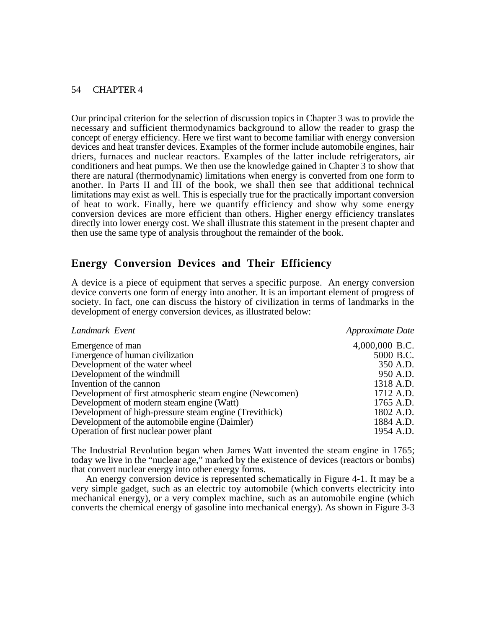Our principal criterion for the selection of discussion topics in Chapter 3 was to provide the necessary and sufficient thermodynamics background to allow the reader to grasp the concept of energy efficiency. Here we first want to become familiar with energy conversion devices and heat transfer devices. Examples of the former include automobile engines, hair driers, furnaces and nuclear reactors. Examples of the latter include refrigerators, air conditioners and heat pumps. We then use the knowledge gained in Chapter 3 to show that there are natural (thermodynamic) limitations when energy is converted from one form to another. In Parts II and III of the book, we shall then see that additional technical limitations may exist as well. This is especially true for the practically important conversion of heat to work. Finally, here we quantify efficiency and show why some energy conversion devices are more efficient than others. Higher energy efficiency translates directly into lower energy cost. We shall illustrate this statement in the present chapter and then use the same type of analysis throughout the remainder of the book.

# **Energy Conversion Devices and Their Efficiency**

A device is a piece of equipment that serves a specific purpose. An energy conversion device converts one form of energy into another. It is an important element of progress of society. In fact, one can discuss the history of civilization in terms of landmarks in the development of energy conversion devices, as illustrated below:

| Landmark Event                                           | Approximate Date |
|----------------------------------------------------------|------------------|
| Emergence of man                                         | 4,000,000 B.C.   |
| Emergence of human civilization                          | 5000 B.C.        |
| Development of the water wheel                           | 350 A.D.         |
| Development of the windmill                              | 950 A.D.         |
| Invention of the cannon                                  | 1318 A.D.        |
| Development of first atmospheric steam engine (Newcomen) | 1712 A.D.        |
| Development of modern steam engine (Watt)                | 1765 A.D.        |
| Development of high-pressure steam engine (Trevithick)   | 1802 A.D.        |
| Development of the automobile engine (Daimler)           | 1884 A.D.        |
| Operation of first nuclear power plant                   | 1954 A.D.        |

The Industrial Revolution began when James Watt invented the steam engine in 1765; today we live in the "nuclear age," marked by the existence of devices (reactors or bombs) that convert nuclear energy into other energy forms.

An energy conversion device is represented schematically in Figure 4-1. It may be a very simple gadget, such as an electric toy automobile (which converts electricity into mechanical energy), or a very complex machine, such as an automobile engine (which converts the chemical energy of gasoline into mechanical energy). As shown in Figure 3-3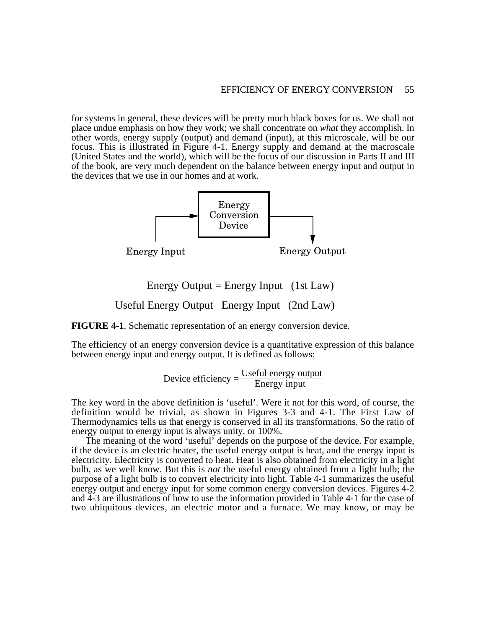for systems in general, these devices will be pretty much black boxes for us. We shall not place undue emphasis on how they work; we shall concentrate on *what* they accomplish. In other words, energy supply (output) and demand (input), at this microscale, will be our focus. This is illustrated in Figure 4-1. Energy supply and demand at the macroscale (United States and the world), which will be the focus of our discussion in Parts II and III of the book, are very much dependent on the balance between energy input and output in the devices that we use in our homes and at work.



Energy Output = Energy Input  $(1st Law)$ 

Useful Energy Output Energy Input (2nd Law)

**FIGURE 4-1**. Schematic representation of an energy conversion device.

The efficiency of an energy conversion device is a quantitative expression of this balance between energy input and energy output. It is defined as follows:

$$
Device efficiency = \frac{Useful energy output}{Energy input}
$$

The key word in the above definition is 'useful'. Were it not for this word, of course, the definition would be trivial, as shown in Figures 3-3 and 4-1. The First Law of Thermodynamics tells us that energy is conserved in all its transformations. So the ratio of energy output to energy input is always unity, or 100%.

The meaning of the word 'useful' depends on the purpose of the device. For example, if the device is an electric heater, the useful energy output is heat, and the energy input is electricity. Electricity is converted to heat. Heat is also obtained from electricity in a light bulb, as we well know. But this is *not* the useful energy obtained from a light bulb; the purpose of a light bulb is to convert electricity into light. Table 4-1 summarizes the useful energy output and energy input for some common energy conversion devices. Figures 4-2 and 4-3 are illustrations of how to use the information provided in Table 4-1 for the case of two ubiquitous devices, an electric motor and a furnace. We may know, or may be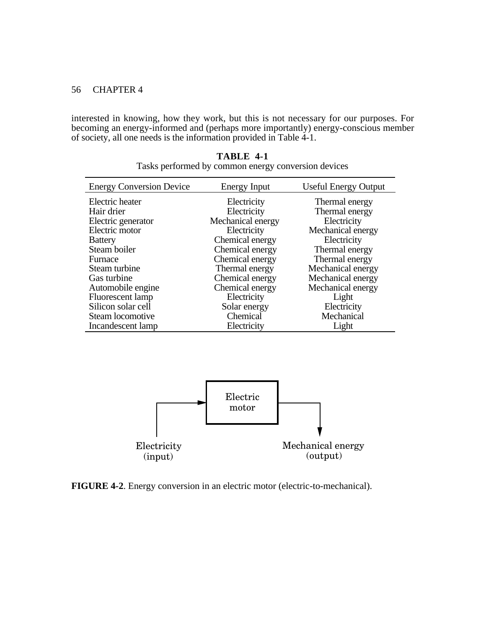interested in knowing, how they work, but this is not necessary for our purposes. For becoming an energy-informed and (perhaps more importantly) energy-conscious member of society, all one needs is the information provided in Table 4-1.

| <b>Energy Conversion Device</b> | Energy Input      | <b>Useful Energy Output</b> |
|---------------------------------|-------------------|-----------------------------|
| Electric heater                 | Electricity       | Thermal energy              |
| Hair drier                      | Electricity       | Thermal energy              |
| Electric generator              | Mechanical energy | Electricity                 |
| Electric motor                  | Electricity       | Mechanical energy           |
| <b>Battery</b>                  | Chemical energy   | Electricity                 |
| Steam boiler                    | Chemical energy   | Thermal energy              |
| Furnace                         | Chemical energy   | Thermal energy              |
| Steam turbine                   | Thermal energy    | Mechanical energy           |
| Gas turbine                     | Chemical energy   | Mechanical energy           |
| Automobile engine               | Chemical energy   | Mechanical energy           |
| Fluorescent lamp                | Electricity       | Light                       |
| Silicon solar cell              | Solar energy      | Electricity                 |
| Steam locomotive                | Chemical          | Mechanical                  |
| Incandescent lamp               | Electricity       | Light                       |

**TABLE 4-1** Tasks performed by common energy conversion devices



**FIGURE 4-2**. Energy conversion in an electric motor (electric-to-mechanical).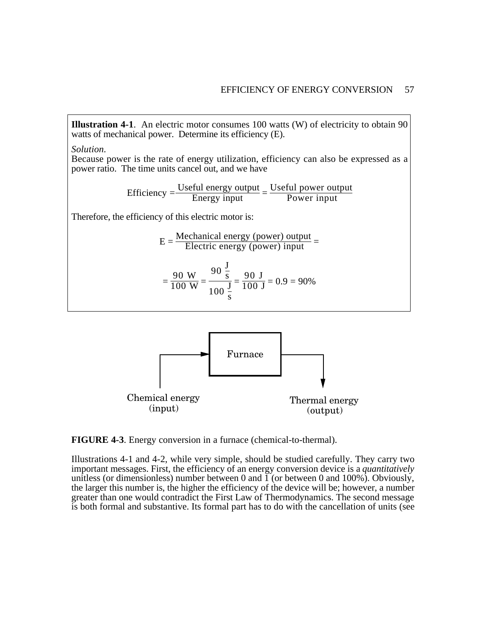**Illustration 4-1**. An electric motor consumes 100 watts (W) of electricity to obtain 90 watts of mechanical power. Determine its efficiency (E).

*Solution.*

Because power is the rate of energy utilization, efficiency can also be expressed as a power ratio. The time units cancel out, and we have

Efficiency = 
$$
\frac{Useful energy output}{Energy input} = \frac{Useful power output}{Power input}
$$

Therefore, the efficiency of this electric motor is:

$$
E = \frac{\text{Mechanical energy (power) output}}{\text{Electric energy (power) input}} =
$$

$$
= \frac{90 \text{ W}}{100 \text{ W}} = \frac{90 \frac{\text{J}}{\text{s}}}{100 \frac{\text{J}}{\text{s}}} = \frac{90 \text{ J}}{100 \text{ J}} = 0.9 = 90\%
$$



**FIGURE 4-3**. Energy conversion in a furnace (chemical-to-thermal).

Illustrations 4-1 and 4-2, while very simple, should be studied carefully. They carry two important messages. First, the efficiency of an energy conversion device is a *quantitatively* unitless (or dimensionless) number between 0 and  $\overline{1}$  (or between 0 and 100%). Obviously, the larger this number is, the higher the efficiency of the device will be; however, a number greater than one would contradict the First Law of Thermodynamics. The second message is both formal and substantive. Its formal part has to do with the cancellation of units (see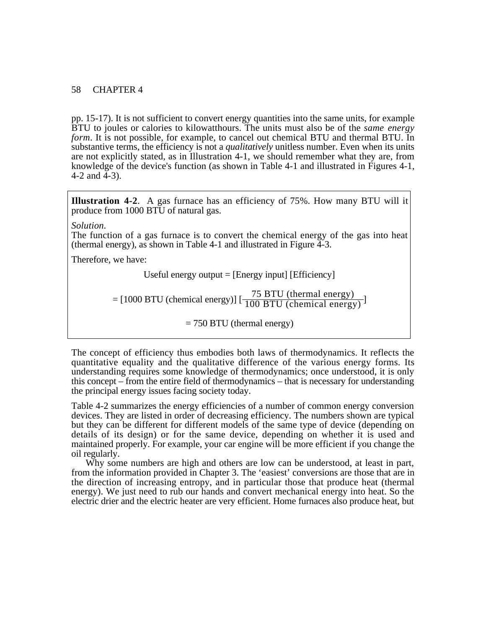pp. 15-17). It is not sufficient to convert energy quantities into the same units, for example BTU to joules or calories to kilowatthours. The units must also be of the *same energy form*. It is not possible, for example, to cancel out chemical BTU and thermal BTU. In substantive terms, the efficiency is not a *qualitatively* unitless number. Even when its units are not explicitly stated, as in Illustration 4-1, we should remember what they are, from knowledge of the device's function (as shown in Table 4-1 and illustrated in Figures 4-1, 4-2 and  $\overline{4}$ -3).

**Illustration 4-2**. A gas furnace has an efficiency of 75%. How many BTU will it produce from 1000 BTU of natural gas.

#### *Solution.*

The function of a gas furnace is to convert the chemical energy of the gas into heat (thermal energy), as shown in Table 4-1 and illustrated in Figure 4-3.

Therefore, we have:

Useful energy output = [Energy input] [Efficiency]

 $=[1000 B T U (chemical energy)] [\frac{75 B T U (thermal energy)}{100 B T U (chemical energy)}]$ 

 $= 750$  BTU (thermal energy)

The concept of efficiency thus embodies both laws of thermodynamics. It reflects the quantitative equality and the qualitative difference of the various energy forms. Its understanding requires some knowledge of thermodynamics; once understood, it is only this concept – from the entire field of thermodynamics – that is necessary for understanding the principal energy issues facing society today.

Table 4-2 summarizes the energy efficiencies of a number of common energy conversion devices. They are listed in order of decreasing efficiency. The numbers shown are typical but they can be different for different models of the same type of device (depending on details of its design) or for the same device, depending on whether it is used and maintained properly. For example, your car engine will be more efficient if you change the oil regularly.

Why some numbers are high and others are low can be understood, at least in part, from the information provided in Chapter 3. The 'easiest' conversions are those that are in the direction of increasing entropy, and in particular those that produce heat (thermal energy). We just need to rub our hands and convert mechanical energy into heat. So the electric drier and the electric heater are very efficient. Home furnaces also produce heat, but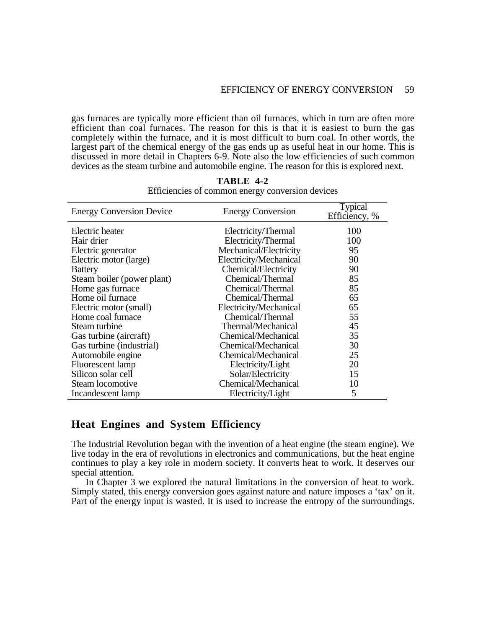gas furnaces are typically more efficient than oil furnaces, which in turn are often more efficient than coal furnaces. The reason for this is that it is easiest to burn the gas completely within the furnace, and it is most difficult to burn coal. In other words, the largest part of the chemical energy of the gas ends up as useful heat in our home. This is discussed in more detail in Chapters 6-9. Note also the low efficiencies of such common devices as the steam turbine and automobile engine. The reason for this is explored next.

| <b>Energy Conversion Device</b> | <b>Energy Conversion</b> | <b>Typical</b><br>Efficiency, % |
|---------------------------------|--------------------------|---------------------------------|
| Electric heater                 | Electricity/Thermal      | 100                             |
| Hair drier                      | Electricity/Thermal      | 100                             |
| Electric generator              | Mechanical/Electricity   | 95                              |
| Electric motor (large)          | Electricity/Mechanical   | 90                              |
| <b>Battery</b>                  | Chemical/Electricity     | 90                              |
| Steam boiler (power plant)      | Chemical/Thermal         | 85                              |
| Home gas furnace                | Chemical/Thermal         | 85                              |
| Home oil furnace                | Chemical/Thermal         | 65                              |
| Electric motor (small)          | Electricity/Mechanical   | 65                              |
| Home coal furnace               | Chemical/Thermal         | 55                              |
| Steam turbine                   | Thermal/Mechanical       | 45                              |
| Gas turbine (aircraft)          | Chemical/Mechanical      | 35                              |
| Gas turbine (industrial)        | Chemical/Mechanical      | 30                              |
| Automobile engine               | Chemical/Mechanical      | 25                              |
| Fluorescent lamp                | Electricity/Light        | 20                              |
| Silicon solar cell              | Solar/Electricity        | 15                              |
| Steam locomotive                | Chemical/Mechanical      | 10                              |
| Incandescent lamp               | Electricity/Light        | 5                               |

**TABLE 4-2** Efficiencies of common energy conversion devices

## **Heat Engines and System Efficiency**

The Industrial Revolution began with the invention of a heat engine (the steam engine). We live today in the era of revolutions in electronics and communications, but the heat engine continues to play a key role in modern society. It converts heat to work. It deserves our special attention.

In Chapter 3 we explored the natural limitations in the conversion of heat to work. Simply stated, this energy conversion goes against nature and nature imposes a 'tax' on it. Part of the energy input is wasted. It is used to increase the entropy of the surroundings.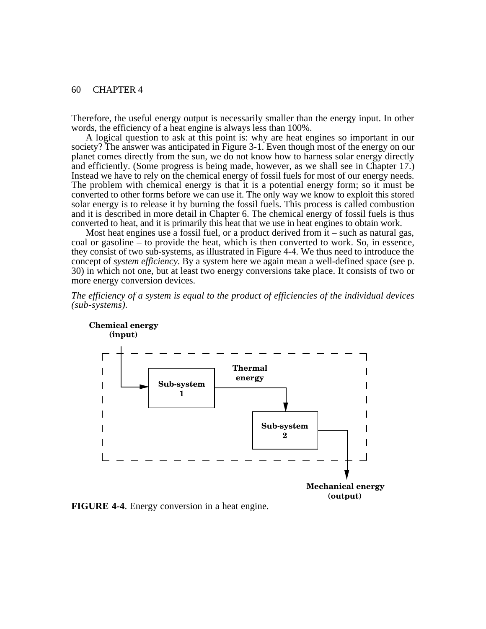**Chemical energy**

Therefore, the useful energy output is necessarily smaller than the energy input. In other words, the efficiency of a heat engine is always less than 100%.

A logical question to ask at this point is: why are heat engines so important in our society? The answer was anticipated in Figure 3-1. Even though most of the energy on our planet comes directly from the sun, we do not know how to harness solar energy directly and efficiently. (Some progress is being made, however, as we shall see in Chapter 17.) Instead we have to rely on the chemical energy of fossil fuels for most of our energy needs. The problem with chemical energy is that it is a potential energy form; so it must be converted to other forms before we can use it. The only way we know to exploit this stored solar energy is to release it by burning the fossil fuels. This process is called combustion and it is described in more detail in Chapter 6. The chemical energy of fossil fuels is thus converted to heat, and it is primarily this heat that we use in heat engines to obtain work.

Most heat engines use a fossil fuel, or a product derived from it – such as natural gas, coal or gasoline – to provide the heat, which is then converted to work. So, in essence, they consist of two sub-systems, as illustrated in Figure 4-4. We thus need to introduce the concept of *system efficiency*. By a system here we again mean a well-defined space (see p. 30) in which not one, but at least two energy conversions take place. It consists of two or more energy conversion devices.







**FIGURE 4-4**. Energy conversion in a heat engine.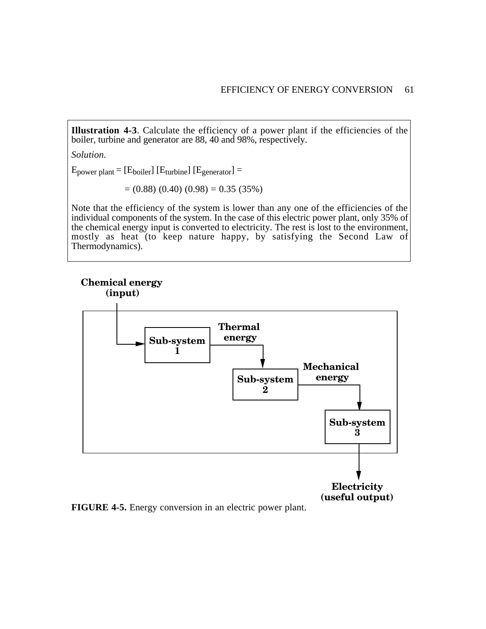**Illustration 4-3**. Calculate the efficiency of a power plant if the efficiencies of the boiler, turbine and generator are 88, 40 and 98%, respectively.

*Solution.*

 $E_{power\ plant} = [E_{boiler}] [E_{turbine}] [E_{generator}] =$ 

 $= (0.88) (0.40) (0.98) = 0.35 (35%)$ 

Note that the efficiency of the system is lower than any one of the efficiencies of the individual components of the system. In the case of this electric power plant, only 35% of the chemical energy input is converted to electricity. The rest is lost to the environment, mostly as heat (to keep nature happy, by satisfying the Second Law of Thermodynamics).

# **Chemical energy**



**FIGURE 4-5.** Energy conversion in an electric power plant.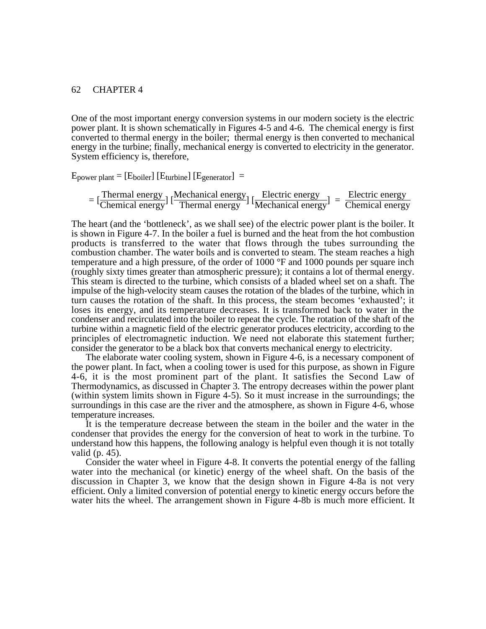One of the most important energy conversion systems in our modern society is the electric power plant. It is shown schematically in Figures 4-5 and 4-6. The chemical energy is first converted to thermal energy in the boiler; thermal energy is then converted to mechanical energy in the turbine; finally, mechanical energy is converted to electricity in the generator. System efficiency is, therefore,

 $E_{power\ planet} = [E_{boiler}] [E_{turbine}] [E_{generator}] =$ 

$$
= [\frac{\text{Thermal energy}}{\text{Chemical energy}}] [\frac{\text{Mechanical energy}}{\text{Thermal energy}}] [\frac{\text{Electric energy}}{\text{Mechanical energy}}] = \frac{\text{Electric energy}}{\text{Chemical energy}}
$$

The heart (and the 'bottleneck', as we shall see) of the electric power plant is the boiler. It is shown in Figure 4-7. In the boiler a fuel is burned and the heat from the hot combustion products is transferred to the water that flows through the tubes surrounding the combustion chamber. The water boils and is converted to steam. The steam reaches a high temperature and a high pressure, of the order of 1000 °F and 1000 pounds per square inch (roughly sixty times greater than atmospheric pressure); it contains a lot of thermal energy. This steam is directed to the turbine, which consists of a bladed wheel set on a shaft. The impulse of the high-velocity steam causes the rotation of the blades of the turbine, which in turn causes the rotation of the shaft. In this process, the steam becomes 'exhausted'; it loses its energy, and its temperature decreases. It is transformed back to water in the condenser and recirculated into the boiler to repeat the cycle. The rotation of the shaft of the turbine within a magnetic field of the electric generator produces electricity, according to the principles of electromagnetic induction. We need not elaborate this statement further; consider the generator to be a black box that converts mechanical energy to electricity.

The elaborate water cooling system, shown in Figure 4-6, is a necessary component of the power plant. In fact, when a cooling tower is used for this purpose, as shown in Figure 4-6, it is the most prominent part of the plant. It satisfies the Second Law of Thermodynamics, as discussed in Chapter 3. The entropy decreases within the power plant (within system limits shown in Figure 4-5). So it must increase in the surroundings; the surroundings in this case are the river and the atmosphere, as shown in Figure 4-6, whose temperature increases.

It is the temperature decrease between the steam in the boiler and the water in the condenser that provides the energy for the conversion of heat to work in the turbine. To understand how this happens, the following analogy is helpful even though it is not totally valid (p. 45).

Consider the water wheel in Figure 4-8. It converts the potential energy of the falling water into the mechanical (or kinetic) energy of the wheel shaft. On the basis of the discussion in Chapter 3, we know that the design shown in Figure 4-8a is not very efficient. Only a limited conversion of potential energy to kinetic energy occurs before the water hits the wheel. The arrangement shown in Figure 4-8b is much more efficient. It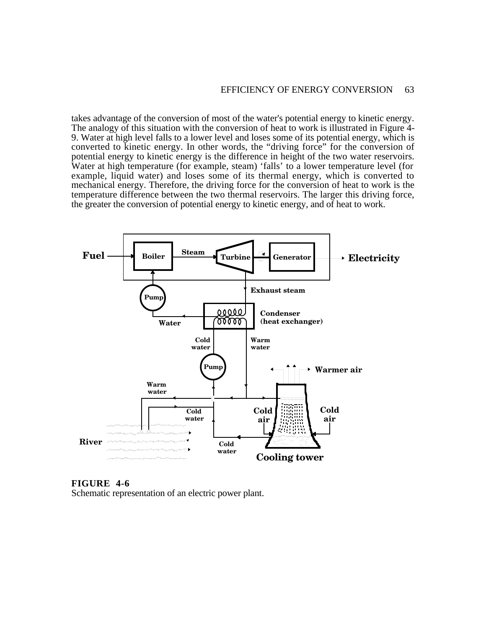takes advantage of the conversion of most of the water's potential energy to kinetic energy. The analogy of this situation with the conversion of heat to work is illustrated in Figure 4- 9. Water at high level falls to a lower level and loses some of its potential energy, which is converted to kinetic energy. In other words, the "driving force" for the conversion of potential energy to kinetic energy is the difference in height of the two water reservoirs. Water at high temperature (for example, steam) 'falls' to a lower temperature level (for example, liquid water) and loses some of its thermal energy, which is converted to mechanical energy. Therefore, the driving force for the conversion of heat to work is the temperature difference between the two thermal reservoirs. The larger this driving force, the greater the conversion of potential energy to kinetic energy, and of heat to work.



**FIGURE 4-6**

Schematic representation of an electric power plant.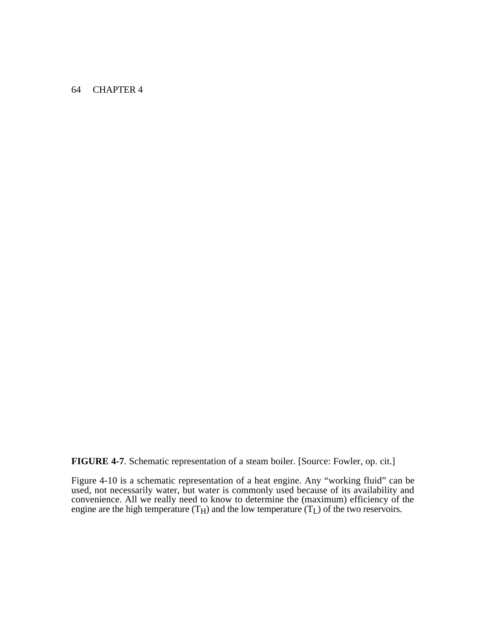**FIGURE 4-7**. Schematic representation of a steam boiler. [Source: Fowler, op. cit.]

Figure 4-10 is a schematic representation of a heat engine. Any "working fluid" can be used, not necessarily water, but water is commonly used because of its availability and convenience. All we really need to know to determine the (maximum) efficiency of the engine are the high temperature  $(T_H)$  and the low temperature  $(T_L)$  of the two reservoirs.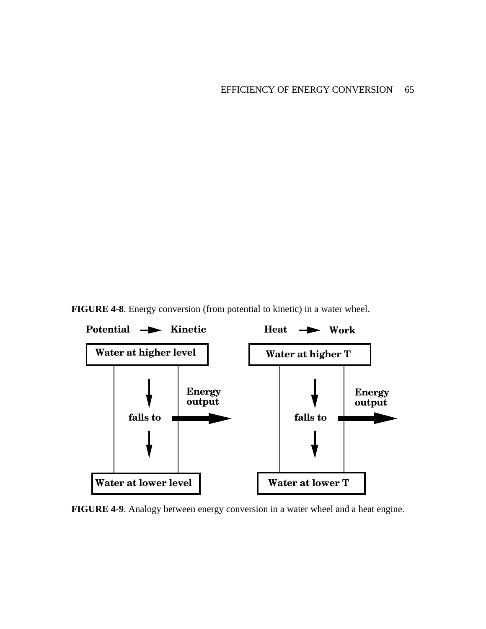**FIGURE 4-8**. Energy conversion (from potential to kinetic) in a water wheel.



**FIGURE 4-9**. Analogy between energy conversion in a water wheel and a heat engine.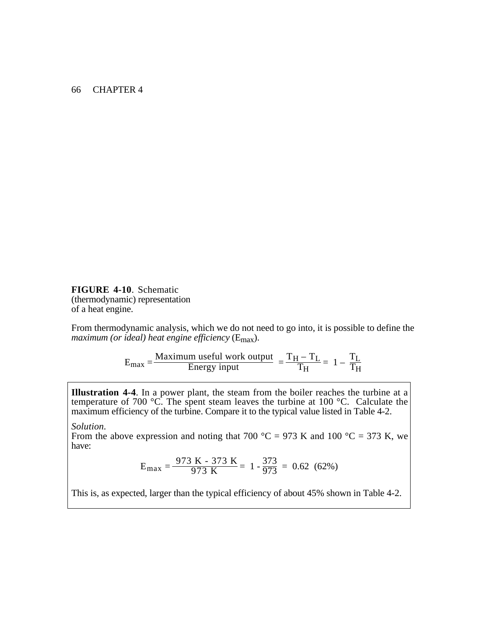**FIGURE 4-10**. Schematic (thermodynamic) representation of a heat engine.

From thermodynamic analysis, which we do not need to go into, it is possible to define the *maximum (or ideal) heat engine efficiency* (Emax).

$$
E_{\text{max}} = \frac{\text{Maximum useful work output}}{\text{Energy input}} = \frac{T_H - T_L}{T_H} = 1 - \frac{T_L}{T_H}
$$

**Illustration 4-4**. In a power plant, the steam from the boiler reaches the turbine at a temperature of 700  $\degree$ C. The spent steam leaves the turbine at 100  $\degree$ C. Calculate the maximum efficiency of the turbine. Compare it to the typical value listed in Table 4-2.

*Solution.*

From the above expression and noting that 700 °C = 973 K and 100 °C = 373 K, we have:

$$
E_{\text{max}} = \frac{973 \text{ K} - 373 \text{ K}}{973 \text{ K}} = 1 - \frac{373}{973} = 0.62 \text{ (62%)}
$$

This is, as expected, larger than the typical efficiency of about 45% shown in Table 4-2.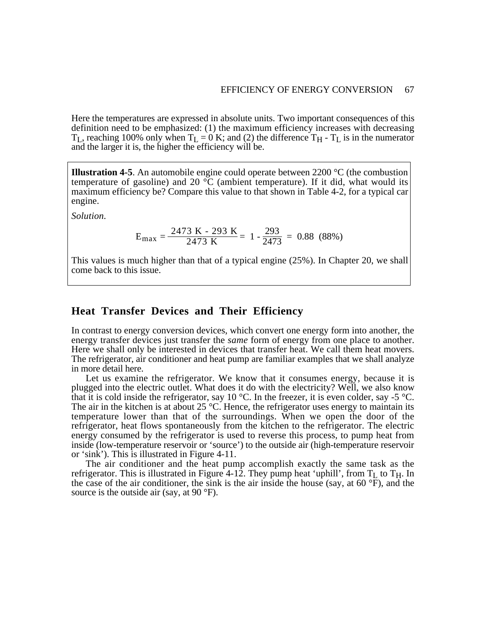Here the temperatures are expressed in absolute units. Two important consequences of this definition need to be emphasized: (1) the maximum efficiency increases with decreasing  $T_L$ , reaching 100% only when  $T_L = 0$  K; and (2) the difference  $T_H$  -  $T_L$  is in the numerator and the larger it is, the higher the efficiency will be.

**Illustration 4-5**. An automobile engine could operate between 2200 °C (the combustion temperature of gasoline) and 20 °C (ambient temperature). If it did, what would its maximum efficiency be? Compare this value to that shown in Table 4-2, for a typical car engine.

*Solution.*

$$
E_{\text{max}} = \frac{2473 \text{ K} - 293 \text{ K}}{2473 \text{ K}} = 1 - \frac{293}{2473} = 0.88 \text{ (88%)}
$$

This values is much higher than that of a typical engine (25%). In Chapter 20, we shall come back to this issue.

### **Heat Transfer Devices and Their Efficiency**

In contrast to energy conversion devices, which convert one energy form into another, the energy transfer devices just transfer the *same* form of energy from one place to another. Here we shall only be interested in devices that transfer heat. We call them heat movers. The refrigerator, air conditioner and heat pump are familiar examples that we shall analyze in more detail here.

Let us examine the refrigerator. We know that it consumes energy, because it is plugged into the electric outlet. What does it do with the electricity? Well, we also know that it is cold inside the refrigerator, say 10 °C. In the freezer, it is even colder, say -5 °C. The air in the kitchen is at about  $25^{\circ}$ C. Hence, the refrigerator uses energy to maintain its temperature lower than that of the surroundings. When we open the door of the refrigerator, heat flows spontaneously from the kitchen to the refrigerator. The electric energy consumed by the refrigerator is used to reverse this process, to pump heat from inside (low-temperature reservoir or 'source') to the outside air (high-temperature reservoir or 'sink'). This is illustrated in Figure 4-11.

The air conditioner and the heat pump accomplish exactly the same task as the refrigerator. This is illustrated in Figure 4-12. They pump heat 'uphill', from  $T_L$  to  $T_H$ . In the case of the air conditioner, the sink is the air inside the house (say, at  $60^\circ$ F), and the source is the outside air (say, at 90 °F).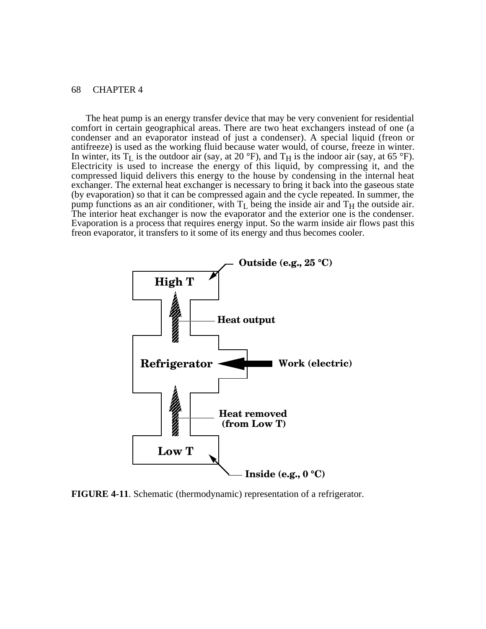The heat pump is an energy transfer device that may be very convenient for residential comfort in certain geographical areas. There are two heat exchangers instead of one (a condenser and an evaporator instead of just a condenser). A special liquid (freon or antifreeze) is used as the working fluid because water would, of course, freeze in winter. In winter, its  $T_L$  is the outdoor air (say, at 20 °F), and  $T_H$  is the indoor air (say, at 65 °F). Electricity is used to increase the energy of this liquid, by compressing it, and the compressed liquid delivers this energy to the house by condensing in the internal heat exchanger. The external heat exchanger is necessary to bring it back into the gaseous state (by evaporation) so that it can be compressed again and the cycle repeated. In summer, the pump functions as an air conditioner, with  $T_L$  being the inside air and  $T_H$  the outside air. The interior heat exchanger is now the evaporator and the exterior one is the condenser. Evaporation is a process that requires energy input. So the warm inside air flows past this freon evaporator, it transfers to it some of its energy and thus becomes cooler.



**FIGURE 4-11**. Schematic (thermodynamic) representation of a refrigerator.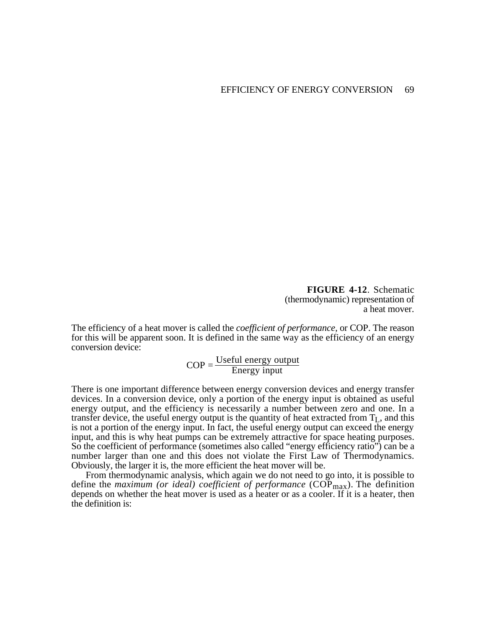**FIGURE 4-12**. Schematic (thermodynamic) representation of a heat mover.

The efficiency of a heat mover is called the *coefficient of performance,* or COP. The reason for this will be apparent soon. It is defined in the same way as the efficiency of an energy conversion device:

 $COP = \frac{Useful$  energy output<br>Energy input

There is one important difference between energy conversion devices and energy transfer devices. In a conversion device, only a portion of the energy input is obtained as useful energy output, and the efficiency is necessarily a number between zero and one. In a transfer device, the useful energy output is the quantity of heat extracted from  $T_L$ , and this is not a portion of the energy input. In fact, the useful energy output can exceed the energy input, and this is why heat pumps can be extremely attractive for space heating purposes. So the coefficient of performance (sometimes also called "energy efficiency ratio") can be a number larger than one and this does not violate the First Law of Thermodynamics. Obviously, the larger it is, the more efficient the heat mover will be.

From thermodynamic analysis, which again we do not need to go into, it is possible to define the *maximum (or ideal) coefficient of performance* (COP<sub>max</sub>). The definition depends on whether the heat mover is used as a heater or as a cooler. If it is a heater, then the definition is: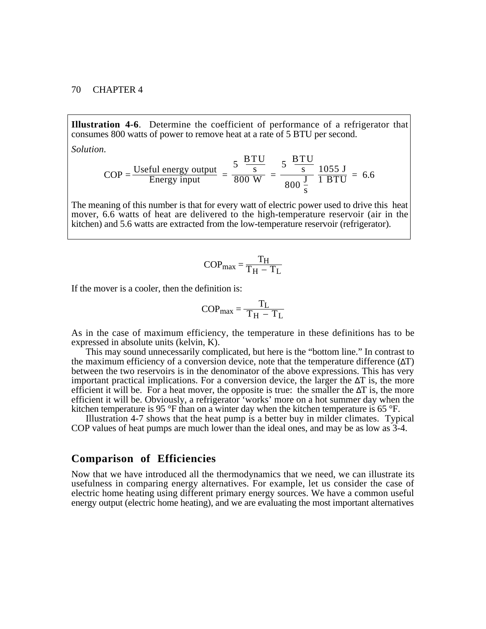**Illustration 4-6**. Determine the coefficient of performance of a refrigerator that consumes 800 watts of power to remove heat at a rate of 5 BTU per second.

*Solution.*

$$
COP = \frac{\text{Useful energy output}}{\text{Energy input}} = \frac{5 \frac{\text{BTU}}{\text{s}}}{800 \text{ W}} = \frac{5 \frac{\text{BTU}}{\text{s}}}{800 \frac{\text{J}}{\text{s}}} = \frac{1055 \text{ J}}{1 \text{ BTU}} = 6.6
$$

The meaning of this number is that for every watt of electric power used to drive this heat mover, 6.6 watts of heat are delivered to the high-temperature reservoir (air in the kitchen) and 5.6 watts are extracted from the low-temperature reservoir (refrigerator).

$$
COP_{\text{max}} = \frac{T_H}{T_H - T_L}
$$

If the mover is a cooler, then the definition is:

$$
COP_{\text{max}} = \frac{T_L}{T_H - T_L}
$$

As in the case of maximum efficiency, the temperature in these definitions has to be expressed in absolute units (kelvin, K).

This may sound unnecessarily complicated, but here is the "bottom line." In contrast to the maximum efficiency of a conversion device, note that the temperature difference  $(\Delta T)$ between the two reservoirs is in the denominator of the above expressions. This has very important practical implications. For a conversion device, the larger the  $\Delta T$  is, the more efficient it will be. For a heat mover, the opposite is true: the smaller the  $\Delta T$  is, the more efficient it will be. Obviously, a refrigerator 'works' more on a hot summer day when the kitchen temperature is 95 °F than on a winter day when the kitchen temperature is 65 °F.

Illustration 4-7 shows that the heat pump is a better buy in milder climates. Typical COP values of heat pumps are much lower than the ideal ones, and may be as low as 3-4.

### **Comparison of Efficiencies**

Now that we have introduced all the thermodynamics that we need, we can illustrate its usefulness in comparing energy alternatives. For example, let us consider the case of electric home heating using different primary energy sources. We have a common useful energy output (electric home heating), and we are evaluating the most important alternatives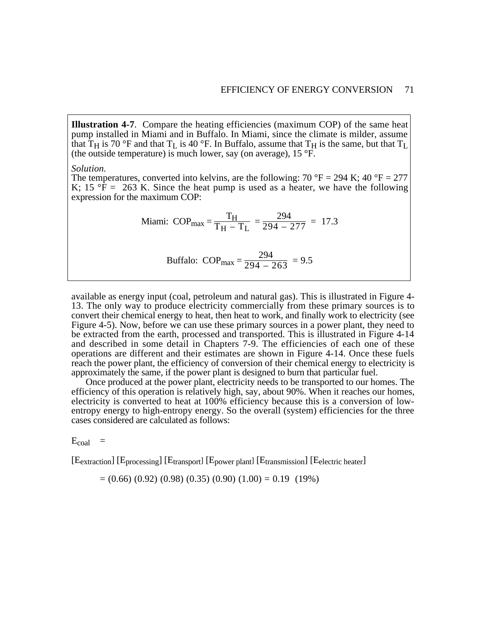**Illustration 4-7**. Compare the heating efficiencies (maximum COP) of the same heat pump installed in Miami and in Buffalo. In Miami, since the climate is milder, assume that  $T_H$  is 70 °F and that  $T_L$  is 40 °F. In Buffalo, assume that  $T_H$  is the same, but that  $T_L$ (the outside temperature) is much lower, say (on average),  $15 \text{ }^{\circ}\text{F}$ .

#### *Solution.*

The temperatures, converted into kelvins, are the following: 70 °F = 294 K; 40 °F = 277 K; 15 °F = 263 K. Since the heat pump is used as a heater, we have the following expression for the maximum COP:

Miami: COP<sub>max</sub> = 
$$
\frac{T_H}{T_H - T_L} = \frac{294}{294 - 277} = 17.3
$$

$$
Buffalo: COP_{\text{max}} = \frac{294}{294 - 263} = 9.5
$$

available as energy input (coal, petroleum and natural gas). This is illustrated in Figure 4- 13. The only way to produce electricity commercially from these primary sources is to convert their chemical energy to heat, then heat to work, and finally work to electricity (see Figure 4-5). Now, before we can use these primary sources in a power plant, they need to be extracted from the earth, processed and transported. This is illustrated in Figure 4-14 and described in some detail in Chapters 7-9. The efficiencies of each one of these operations are different and their estimates are shown in Figure 4-14. Once these fuels reach the power plant, the efficiency of conversion of their chemical energy to electricity is approximately the same, if the power plant is designed to burn that particular fuel.

Once produced at the power plant, electricity needs to be transported to our homes. The efficiency of this operation is relatively high, say, about 90%. When it reaches our homes, electricity is converted to heat at 100% efficiency because this is a conversion of lowentropy energy to high-entropy energy. So the overall (system) efficiencies for the three cases considered are calculated as follows:

 $E_{coal}$  =

[Eextraction] [Eprocessing] [Etransport] [Epower plant] [Etransmission] [Eelectric heater]

 $= (0.66) (0.92) (0.98) (0.35) (0.90) (1.00) = 0.19 (19%)$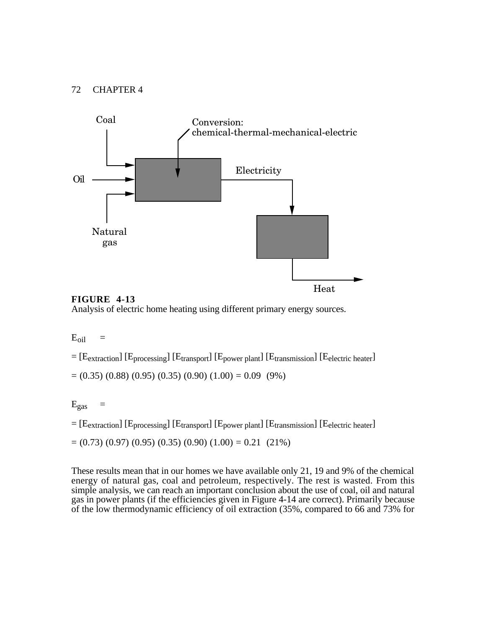

**FIGURE 4-13** Analysis of electric home heating using different primary energy sources.

 $E_{oil}$  =

 $=[E_{extraction}]$  [E<sub>processing</sub>] [E<sub>transport</sub>] [E<sub>power plant</sub>] [E<sub>transmission</sub>] [E<sub>electric heater</sub>]  $=(0.35)(0.88)(0.95)(0.35)(0.90)(1.00) = 0.09(9%)$ 

 $E_{\rm gas}$  =

 $=[E_{extraction}]$  [E<sub>processing</sub>] [E<sub>transport</sub>] [E<sub>power plant</sub>] [E<sub>transmission</sub>] [E<sub>electric heater</sub>]

 $=(0.73)(0.97)(0.95)(0.35)(0.90)(1.00) = 0.21(21%)$ 

These results mean that in our homes we have available only 21, 19 and 9% of the chemical energy of natural gas, coal and petroleum, respectively. The rest is wasted. From this simple analysis, we can reach an important conclusion about the use of coal, oil and natural gas in power plants (if the efficiencies given in Figure 4-14 are correct). Primarily because of the low thermodynamic efficiency of oil extraction (35%, compared to 66 and 73% for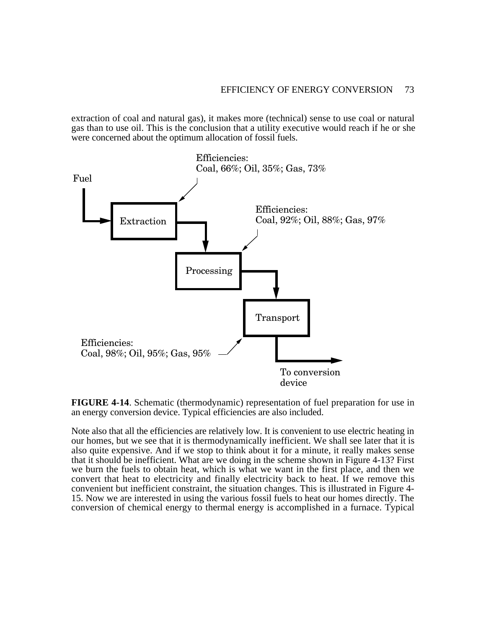extraction of coal and natural gas), it makes more (technical) sense to use coal or natural gas than to use oil. This is the conclusion that a utility executive would reach if he or she were concerned about the optimum allocation of fossil fuels.



**FIGURE 4-14**. Schematic (thermodynamic) representation of fuel preparation for use in an energy conversion device. Typical efficiencies are also included.

Note also that all the efficiencies are relatively low. It is convenient to use electric heating in our homes, but we see that it is thermodynamically inefficient. We shall see later that it is also quite expensive. And if we stop to think about it for a minute, it really makes sense that it should be inefficient. What are we doing in the scheme shown in Figure 4-13? First we burn the fuels to obtain heat, which is what we want in the first place, and then we convert that heat to electricity and finally electricity back to heat. If we remove this convenient but inefficient constraint, the situation changes. This is illustrated in Figure 4- 15. Now we are interested in using the various fossil fuels to heat our homes directly. The conversion of chemical energy to thermal energy is accomplished in a furnace. Typical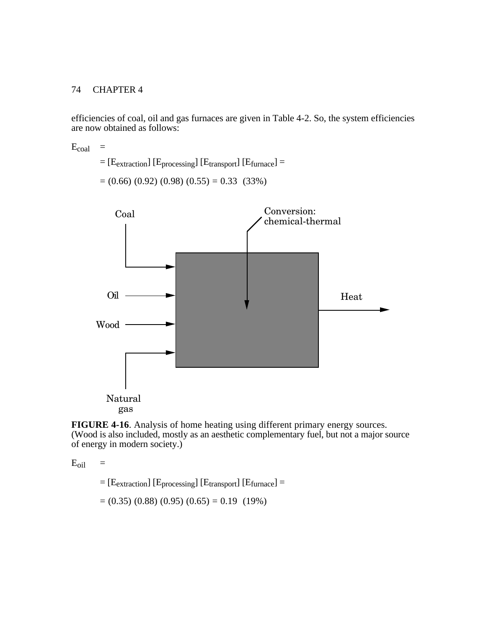efficiencies of coal, oil and gas furnaces are given in Table 4-2. So, the system efficiencies are now obtained as follows:

 $E_{coal}$  =  $=[E_{extraction}]$  [ $E_{processing}$ ] [ $E_{transport}$ ] [ $E_{furnace}$ ] =  $=(0.66)(0.92)(0.98)(0.55) = 0.33(33%)$ 



**FIGURE 4-16**. Analysis of home heating using different primary energy sources. (Wood is also included, mostly as an aesthetic complementary fuel, but not a major source of energy in modern society.)

 $E_{\text{oil}}$  =

 $=$  [E<sub>extraction</sub>] [E<sub>processing</sub>] [E<sub>transport</sub>] [E<sub>furnace</sub>] =

 $= (0.35) (0.88) (0.95) (0.65) = 0.19 (19%)$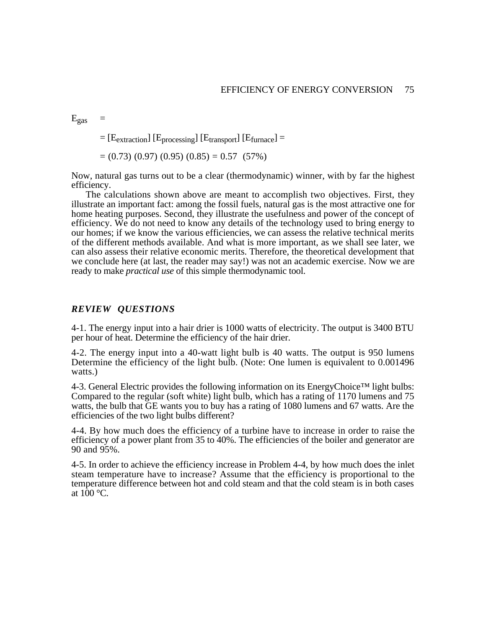$E_{\rm gas}$  =

 $=$  [E<sub>extraction</sub>] [E<sub>processing</sub>] [E<sub>transport</sub>] [E<sub>furnace</sub>] =

$$
= (0.73) (0.97) (0.95) (0.85) = 0.57 (57\%)
$$

Now, natural gas turns out to be a clear (thermodynamic) winner, with by far the highest efficiency.

The calculations shown above are meant to accomplish two objectives. First, they illustrate an important fact: among the fossil fuels, natural gas is the most attractive one for home heating purposes. Second, they illustrate the usefulness and power of the concept of efficiency. We do not need to know any details of the technology used to bring energy to our homes; if we know the various efficiencies, we can assess the relative technical merits of the different methods available. And what is more important, as we shall see later, we can also assess their relative economic merits. Therefore, the theoretical development that we conclude here (at last, the reader may say!) was not an academic exercise. Now we are ready to make *practical use* of this simple thermodynamic tool.

#### *REVIEW QUESTIONS*

4-1. The energy input into a hair drier is 1000 watts of electricity. The output is 3400 BTU per hour of heat. Determine the efficiency of the hair drier.

4-2. The energy input into a 40-watt light bulb is 40 watts. The output is 950 lumens Determine the efficiency of the light bulb. (Note: One lumen is equivalent to 0.001496 watts.)

4-3. General Electric provides the following information on its EnergyChoice™ light bulbs: Compared to the regular (soft white) light bulb, which has a rating of 1170 lumens and 75 watts, the bulb that GE wants you to buy has a rating of 1080 lumens and 67 watts. Are the efficiencies of the two light bulbs different?

4-4. By how much does the efficiency of a turbine have to increase in order to raise the efficiency of a power plant from 35 to 40%. The efficiencies of the boiler and generator are 90 and 95%.

4-5. In order to achieve the efficiency increase in Problem 4-4, by how much does the inlet steam temperature have to increase? Assume that the efficiency is proportional to the temperature difference between hot and cold steam and that the cold steam is in both cases at  $100^{\circ}$ C.